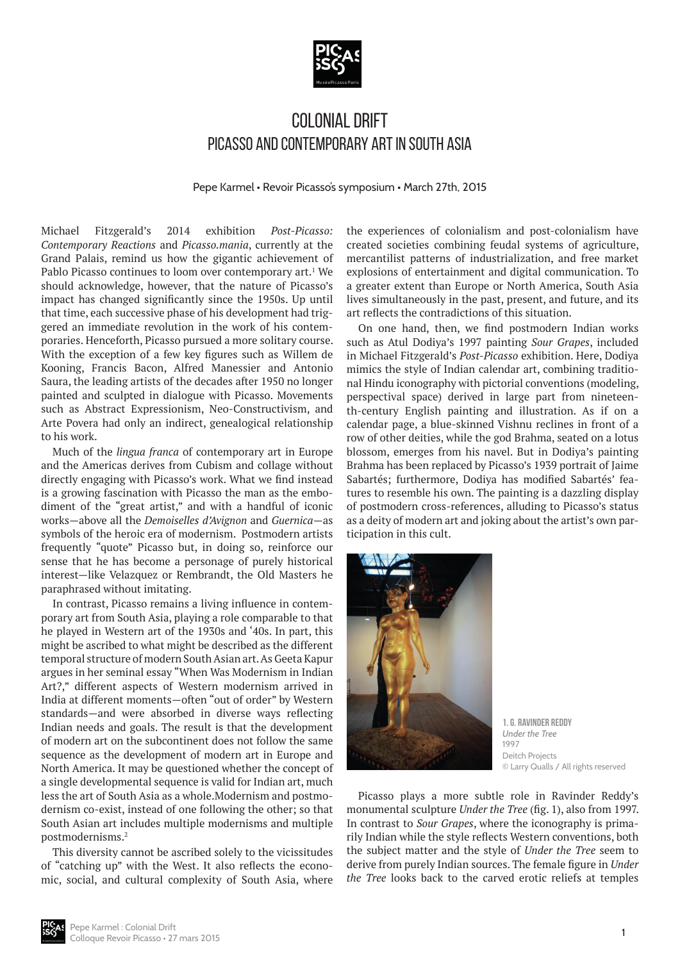

## Colonial Drift Picasso and Contemporary Art in South Asia

Pepe Karmel • Revoir Picasso's symposium • March 27th, 2015

Michael Fitzgerald's 2014 exhibition *Post-Picasso: Contemporary Reactions* and *Picasso.mania*, currently at the Grand Palais, remind us how the gigantic achievement of Pablo Picasso continues to loom over contemporary art.<sup>1</sup> We should acknowledge, however, that the nature of Picasso's impact has changed significantly since the 1950s. Up until that time, each successive phase of his development had triggered an immediate revolution in the work of his contemporaries. Henceforth, Picasso pursued a more solitary course. With the exception of a few key figures such as Willem de Kooning, Francis Bacon, Alfred Manessier and Antonio Saura, the leading artists of the decades after 1950 no longer painted and sculpted in dialogue with Picasso. Movements such as Abstract Expressionism, Neo-Constructivism, and Arte Povera had only an indirect, genealogical relationship to his work.

Much of the *lingua franca* of contemporary art in Europe and the Americas derives from Cubism and collage without directly engaging with Picasso's work. What we find instead is a growing fascination with Picasso the man as the embodiment of the "great artist," and with a handful of iconic works—above all the *Demoiselles d'Avignon* and *Guernica*—as symbols of the heroic era of modernism. Postmodern artists frequently "quote" Picasso but, in doing so, reinforce our sense that he has become a personage of purely historical interest—like Velazquez or Rembrandt, the Old Masters he paraphrased without imitating.

In contrast, Picasso remains a living influence in contemporary art from South Asia, playing a role comparable to that he played in Western art of the 1930s and '40s. In part, this might be ascribed to what might be described as the different temporal structure of modern South Asian art. As Geeta Kapur argues in her seminal essay "When Was Modernism in Indian Art?," different aspects of Western modernism arrived in India at different moments—often "out of order" by Western standards—and were absorbed in diverse ways reflecting Indian needs and goals. The result is that the development of modern art on the subcontinent does not follow the same sequence as the development of modern art in Europe and North America. It may be questioned whether the concept of a single developmental sequence is valid for Indian art, much less the art of South Asia as a whole.Modernism and postmodernism co-exist, instead of one following the other; so that South Asian art includes multiple modernisms and multiple postmodernisms.2

This diversity cannot be ascribed solely to the vicissitudes of "catching up" with the West. It also reflects the economic, social, and cultural complexity of South Asia, where

the experiences of colonialism and post-colonialism have created societies combining feudal systems of agriculture, mercantilist patterns of industrialization, and free market explosions of entertainment and digital communication. To a greater extent than Europe or North America, South Asia lives simultaneously in the past, present, and future, and its art reflects the contradictions of this situation.

On one hand, then, we find postmodern Indian works such as Atul Dodiya's 1997 painting *Sour Grapes*, included in Michael Fitzgerald's *Post-Picasso* exhibition. Here, Dodiya mimics the style of Indian calendar art, combining traditional Hindu iconography with pictorial conventions (modeling, perspectival space) derived in large part from nineteenth-century English painting and illustration. As if on a calendar page, a blue-skinned Vishnu reclines in front of a row of other deities, while the god Brahma, seated on a lotus blossom, emerges from his navel. But in Dodiya's painting Brahma has been replaced by Picasso's 1939 portrait of Jaime Sabartés; furthermore, Dodiya has modified Sabartés' features to resemble his own. The painting is a dazzling display of postmodern cross-references, alluding to Picasso's status as a deity of modern art and joking about the artist's own participation in this cult.



**1. G. Ravinder Reddy** *Under the Tree* 1997 Deitch Projects © Larry Qualls / All rights reserved

Picasso plays a more subtle role in Ravinder Reddy's monumental sculpture *Under the Tree* (fig. 1), also from 1997. In contrast to *Sour Grapes*, where the iconography is primarily Indian while the style reflects Western conventions, both the subject matter and the style of *Under the Tree* seem to derive from purely Indian sources. The female figure in *Under the Tree* looks back to the carved erotic reliefs at temples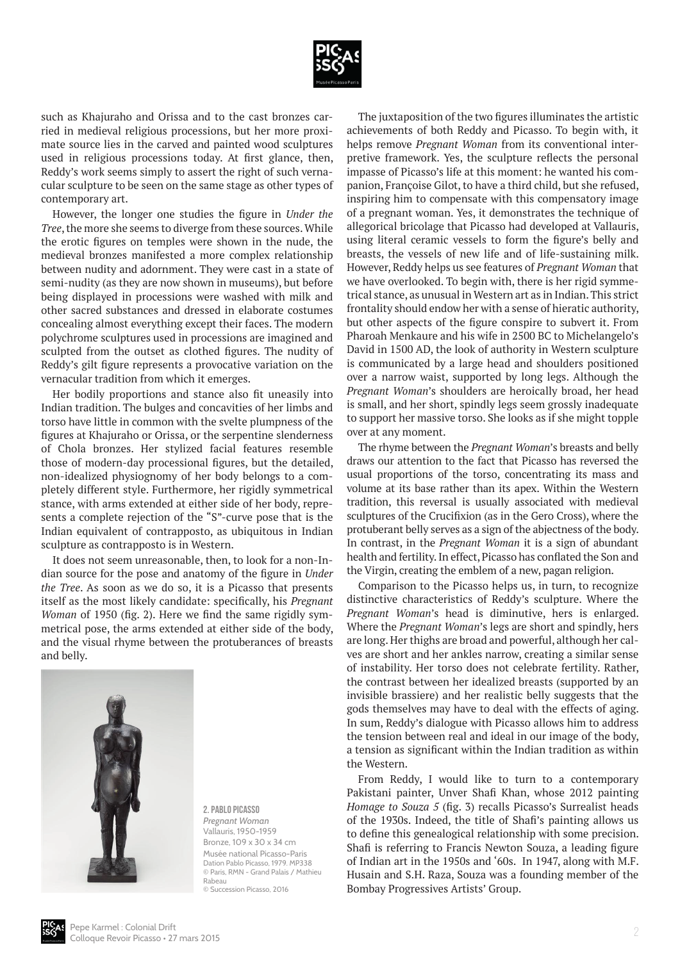

such as Khajuraho and Orissa and to the cast bronzes carried in medieval religious processions, but her more proximate source lies in the carved and painted wood sculptures used in religious processions today. At first glance, then, Reddy's work seems simply to assert the right of such vernacular sculpture to be seen on the same stage as other types of contemporary art.

However, the longer one studies the figure in *Under the Tree*, the more she seems to diverge from these sources. While the erotic figures on temples were shown in the nude, the medieval bronzes manifested a more complex relationship between nudity and adornment. They were cast in a state of semi-nudity (as they are now shown in museums), but before being displayed in processions were washed with milk and other sacred substances and dressed in elaborate costumes concealing almost everything except their faces. The modern polychrome sculptures used in processions are imagined and sculpted from the outset as clothed figures. The nudity of Reddy's gilt figure represents a provocative variation on the vernacular tradition from which it emerges.

Her bodily proportions and stance also fit uneasily into Indian tradition. The bulges and concavities of her limbs and torso have little in common with the svelte plumpness of the figures at Khajuraho or Orissa, or the serpentine slenderness of Chola bronzes. Her stylized facial features resemble those of modern-day processional figures, but the detailed, non-idealized physiognomy of her body belongs to a completely different style. Furthermore, her rigidly symmetrical stance, with arms extended at either side of her body, represents a complete rejection of the "S"-curve pose that is the Indian equivalent of contrapposto, as ubiquitous in Indian sculpture as contrapposto is in Western.

It does not seem unreasonable, then, to look for a non-Indian source for the pose and anatomy of the figure in *Under the Tree*. As soon as we do so, it is a Picasso that presents itself as the most likely candidate: specifically, his *Pregnant Woman* of 1950 (fig. 2). Here we find the same rigidly symmetrical pose, the arms extended at either side of the body, and the visual rhyme between the protuberances of breasts and belly.



**2. Pablo Picasso** *Pregnant Woman* Vallauris, 1950-1959 Bronze, 109 x 30 x 34 cm Musée national Picasso-Paris Dation Pablo Picasso, 1979. MP338 © Paris, RMN - Grand Palais / Mathieu Rabeau

© Succession Picasso, 2016

The juxtaposition of the two figures illuminates the artistic achievements of both Reddy and Picasso. To begin with, it helps remove *Pregnant Woman* from its conventional interpretive framework. Yes, the sculpture reflects the personal impasse of Picasso's life at this moment: he wanted his companion, Françoise Gilot, to have a third child, but she refused, inspiring him to compensate with this compensatory image of a pregnant woman. Yes, it demonstrates the technique of allegorical bricolage that Picasso had developed at Vallauris, using literal ceramic vessels to form the figure's belly and breasts, the vessels of new life and of life-sustaining milk. However, Reddy helps us see features of *Pregnant Woman* that we have overlooked. To begin with, there is her rigid symmetrical stance, as unusual in Western art as in Indian. This strict frontality should endow her with a sense of hieratic authority, but other aspects of the figure conspire to subvert it. From Pharoah Menkaure and his wife in 2500 BC to Michelangelo's David in 1500 AD, the look of authority in Western sculpture is communicated by a large head and shoulders positioned over a narrow waist, supported by long legs. Although the *Pregnant Woman*'s shoulders are heroically broad, her head is small, and her short, spindly legs seem grossly inadequate to support her massive torso. She looks as if she might topple over at any moment.

The rhyme between the *Pregnant Woman*'s breasts and belly draws our attention to the fact that Picasso has reversed the usual proportions of the torso, concentrating its mass and volume at its base rather than its apex. Within the Western tradition, this reversal is usually associated with medieval sculptures of the Crucifixion (as in the Gero Cross), where the protuberant belly serves as a sign of the abjectness of the body. In contrast, in the *Pregnant Woman* it is a sign of abundant health and fertility. In effect, Picasso has conflated the Son and the Virgin, creating the emblem of a new, pagan religion.

Comparison to the Picasso helps us, in turn, to recognize distinctive characteristics of Reddy's sculpture. Where the *Pregnant Woman*'s head is diminutive, hers is enlarged. Where the *Pregnant Woman*'s legs are short and spindly, hers are long. Her thighs are broad and powerful, although her calves are short and her ankles narrow, creating a similar sense of instability. Her torso does not celebrate fertility. Rather, the contrast between her idealized breasts (supported by an invisible brassiere) and her realistic belly suggests that the gods themselves may have to deal with the effects of aging. In sum, Reddy's dialogue with Picasso allows him to address the tension between real and ideal in our image of the body, a tension as significant within the Indian tradition as within the Western.

From Reddy, I would like to turn to a contemporary Pakistani painter, Unver Shafi Khan, whose 2012 painting *Homage to Souza 5* (fig. 3) recalls Picasso's Surrealist heads of the 1930s. Indeed, the title of Shafi's painting allows us to define this genealogical relationship with some precision. Shafi is referring to Francis Newton Souza, a leading figure of Indian art in the 1950s and '60s. In 1947, along with M.F. Husain and S.H. Raza, Souza was a founding member of the Bombay Progressives Artists' Group.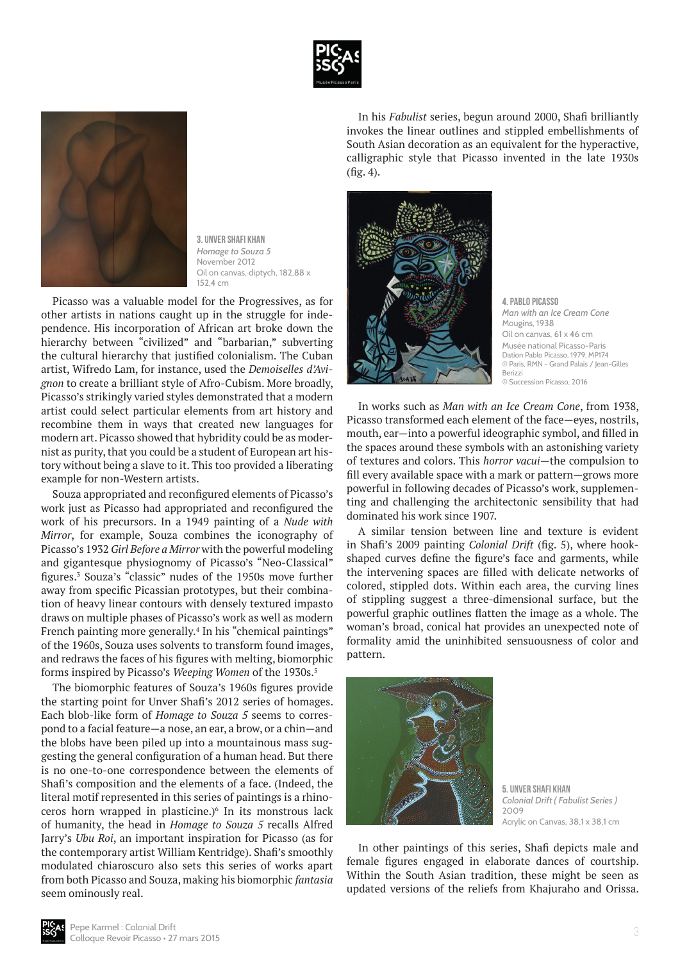



**3. Unver Shafi Khan** *Homage to Souza 5* November 2012 Oil on canvas, diptych, 182,88 x 152,4 cm

Picasso was a valuable model for the Progressives, as for other artists in nations caught up in the struggle for independence. His incorporation of African art broke down the hierarchy between "civilized" and "barbarian," subverting the cultural hierarchy that justified colonialism. The Cuban artist, Wifredo Lam, for instance, used the *Demoiselles d'Avignon* to create a brilliant style of Afro-Cubism. More broadly, Picasso's strikingly varied styles demonstrated that a modern artist could select particular elements from art history and recombine them in ways that created new languages for modern art. Picasso showed that hybridity could be as modernist as purity, that you could be a student of European art history without being a slave to it. This too provided a liberating example for non-Western artists.

Souza appropriated and reconfigured elements of Picasso's work just as Picasso had appropriated and reconfigured the work of his precursors. In a 1949 painting of a *Nude with Mirror*, for example, Souza combines the iconography of Picasso's 1932 *Girl Before a Mirror* with the powerful modeling and gigantesque physiognomy of Picasso's "Neo-Classical" figures.3 Souza's "classic" nudes of the 1950s move further away from specific Picassian prototypes, but their combination of heavy linear contours with densely textured impasto draws on multiple phases of Picasso's work as well as modern French painting more generally.<sup>4</sup> In his "chemical paintings" of the 1960s, Souza uses solvents to transform found images, and redraws the faces of his figures with melting, biomorphic forms inspired by Picasso's *Weeping Women* of the 1930s.<sup>5</sup>

The biomorphic features of Souza's 1960s figures provide the starting point for Unver Shafi's 2012 series of homages. Each blob-like form of *Homage to Souza 5* seems to correspond to a facial feature—a nose, an ear, a brow, or a chin—and the blobs have been piled up into a mountainous mass suggesting the general configuration of a human head. But there is no one-to-one correspondence between the elements of Shafi's composition and the elements of a face. (Indeed, the literal motif represented in this series of paintings is a rhinoceros horn wrapped in plasticine.) $6$  In its monstrous lack of humanity, the head in *Homage to Souza 5* recalls Alfred Jarry's *Ubu Roi*, an important inspiration for Picasso (as for the contemporary artist William Kentridge). Shafi's smoothly modulated chiaroscuro also sets this series of works apart from both Picasso and Souza, making his biomorphic *fantasia* seem ominously real.

In his *Fabulist* series, begun around 2000, Shafi brilliantly invokes the linear outlines and stippled embellishments of South Asian decoration as an equivalent for the hyperactive, calligraphic style that Picasso invented in the late 1930s (fig. 4).



**4. Pablo Picasso** *Man with an Ice Cream Cone* Mougins, 1938  $Oil$  on canvas, 61 x 46 cm Musée national Picasso-Paris Dation Pablo Picasso, 1979. MP174 © Paris, RMN - Grand Palais / Jean-Gilles Berizzi © Succession Picasso, 2016

In works such as *Man with an Ice Cream Cone*, from 1938, Picasso transformed each element of the face—eyes, nostrils, mouth, ear—into a powerful ideographic symbol, and filled in the spaces around these symbols with an astonishing variety of textures and colors. This *horror vacui*—the compulsion to fill every available space with a mark or pattern—grows more powerful in following decades of Picasso's work, supplementing and challenging the architectonic sensibility that had dominated his work since 1907.

A similar tension between line and texture is evident in Shafi's 2009 painting *Colonial Drift* (fig. 5), where hookshaped curves define the figure's face and garments, while the intervening spaces are filled with delicate networks of colored, stippled dots. Within each area, the curving lines of stippling suggest a three-dimensional surface, but the powerful graphic outlines flatten the image as a whole. The woman's broad, conical hat provides an unexpected note of formality amid the uninhibited sensuousness of color and pattern.



**5. Unver Shafi Khan** *Colonial Drift ( Fabulist Series )*  2009 Acrylic on Canvas, 38,1 x 38,1 cm

In other paintings of this series, Shafi depicts male and female figures engaged in elaborate dances of courtship. Within the South Asian tradition, these might be seen as updated versions of the reliefs from Khajuraho and Orissa.